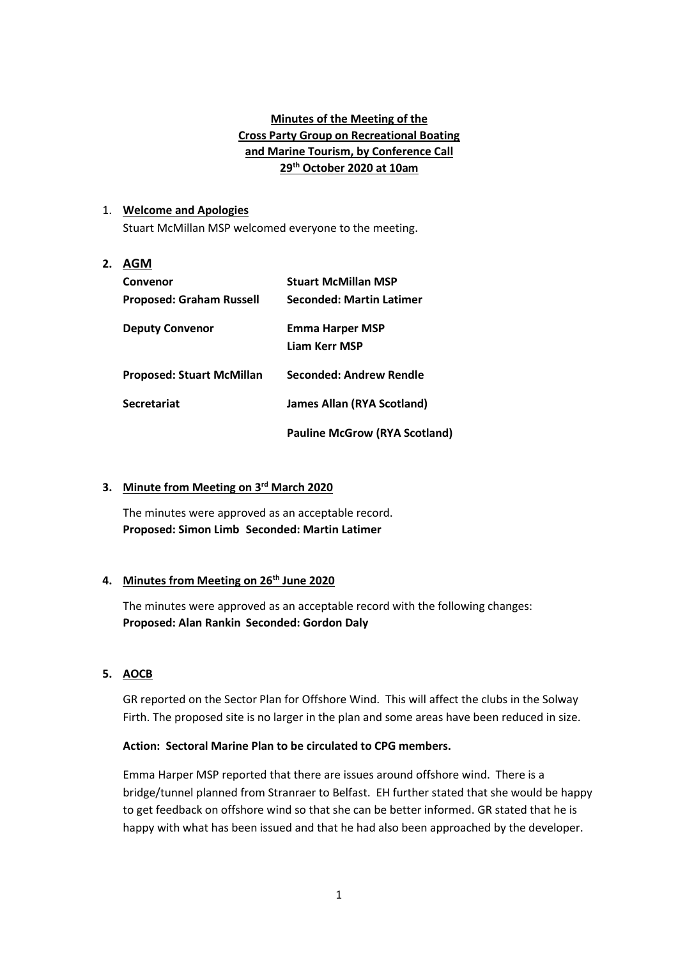## **Minutes of the Meeting of the Cross Party Group on Recreational Boating and Marine Tourism, by Conference Call 29th October 2020 at 10am**

## 1. **Welcome and Apologies**

Stuart McMillan MSP welcomed everyone to the meeting.

# **2. AGM Convenor Stuart McMillan MSP Proposed: Graham Russell Seconded: Martin Latimer Deputy Convenor Emma Harper MSP Liam Kerr MSP Proposed: Stuart McMillan Seconded: Andrew Rendle Secretariat James Allan (RYA Scotland) Pauline McGrow (RYA Scotland)**

## **3. Minute from Meeting on 3rd March 2020**

The minutes were approved as an acceptable record. **Proposed: Simon Limb Seconded: Martin Latimer**

## **4. Minutes from Meeting on 26th June 2020**

The minutes were approved as an acceptable record with the following changes: **Proposed: Alan Rankin Seconded: Gordon Daly**

## **5. AOCB**

GR reported on the Sector Plan for Offshore Wind. This will affect the clubs in the Solway Firth. The proposed site is no larger in the plan and some areas have been reduced in size.

## **Action: Sectoral Marine Plan to be circulated to CPG members.**

Emma Harper MSP reported that there are issues around offshore wind. There is a bridge/tunnel planned from Stranraer to Belfast. EH further stated that she would be happy to get feedback on offshore wind so that she can be better informed. GR stated that he is happy with what has been issued and that he had also been approached by the developer.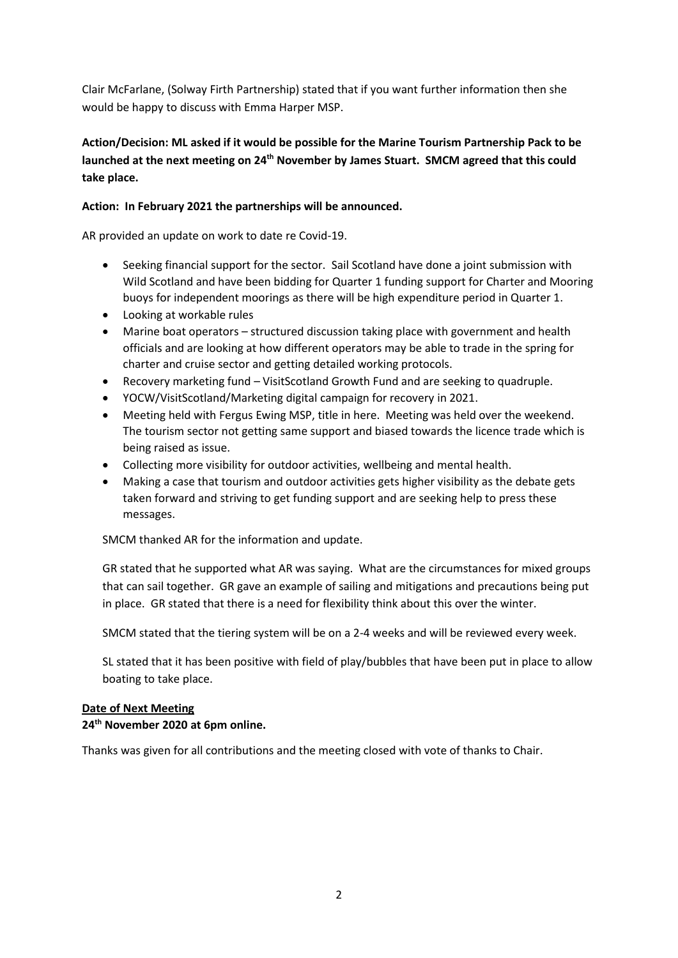Clair McFarlane, (Solway Firth Partnership) stated that if you want further information then she would be happy to discuss with Emma Harper MSP.

# **Action/Decision: ML asked if it would be possible for the Marine Tourism Partnership Pack to be launched at the next meeting on 24th November by James Stuart. SMCM agreed that this could take place.**

## **Action: In February 2021 the partnerships will be announced.**

AR provided an update on work to date re Covid-19.

- Seeking financial support for the sector. Sail Scotland have done a joint submission with Wild Scotland and have been bidding for Quarter 1 funding support for Charter and Mooring buoys for independent moorings as there will be high expenditure period in Quarter 1.
- Looking at workable rules
- Marine boat operators structured discussion taking place with government and health officials and are looking at how different operators may be able to trade in the spring for charter and cruise sector and getting detailed working protocols.
- Recovery marketing fund VisitScotland Growth Fund and are seeking to quadruple.
- YOCW/VisitScotland/Marketing digital campaign for recovery in 2021.
- Meeting held with Fergus Ewing MSP, title in here. Meeting was held over the weekend. The tourism sector not getting same support and biased towards the licence trade which is being raised as issue.
- Collecting more visibility for outdoor activities, wellbeing and mental health.
- Making a case that tourism and outdoor activities gets higher visibility as the debate gets taken forward and striving to get funding support and are seeking help to press these messages.

SMCM thanked AR for the information and update.

GR stated that he supported what AR was saying. What are the circumstances for mixed groups that can sail together. GR gave an example of sailing and mitigations and precautions being put in place. GR stated that there is a need for flexibility think about this over the winter.

SMCM stated that the tiering system will be on a 2-4 weeks and will be reviewed every week.

SL stated that it has been positive with field of play/bubbles that have been put in place to allow boating to take place.

## **Date of Next Meeting**

## **24th November 2020 at 6pm online.**

Thanks was given for all contributions and the meeting closed with vote of thanks to Chair.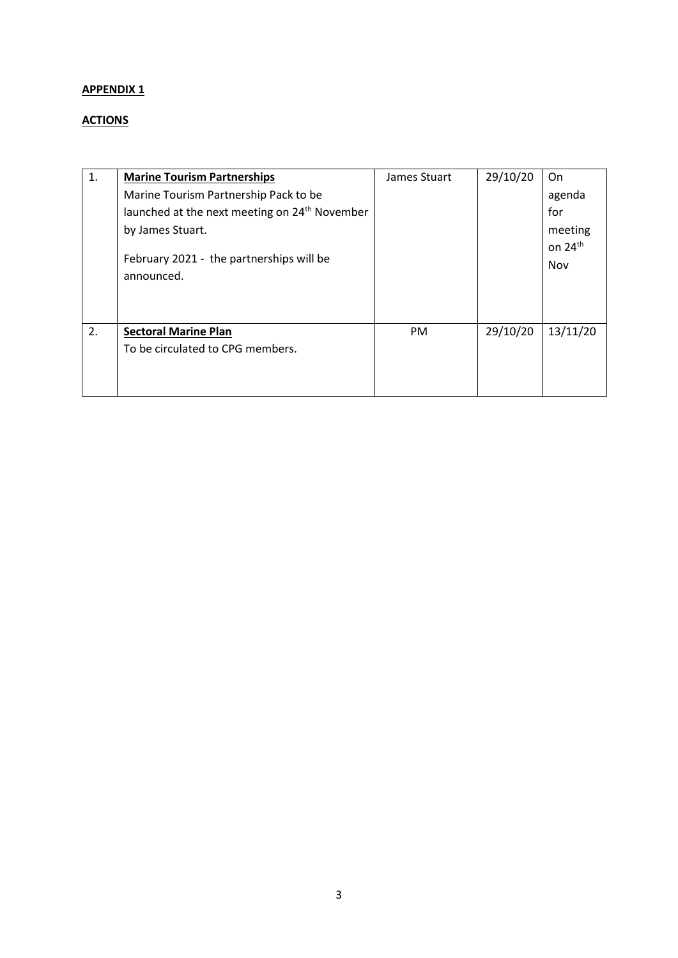# **APPENDIX 1**

# **ACTIONS**

| 1. | <b>Marine Tourism Partnerships</b>                        | James Stuart | 29/10/20 | On                  |
|----|-----------------------------------------------------------|--------------|----------|---------------------|
|    | Marine Tourism Partnership Pack to be                     |              |          | agenda              |
|    | launched at the next meeting on 24 <sup>th</sup> November |              |          | for                 |
|    | by James Stuart.                                          |              |          | meeting             |
|    |                                                           |              |          | on 24 <sup>th</sup> |
|    | February 2021 - the partnerships will be                  |              |          | Nov                 |
|    | announced.                                                |              |          |                     |
|    |                                                           |              |          |                     |
|    |                                                           |              |          |                     |
| 2. | <b>Sectoral Marine Plan</b>                               | PM           | 29/10/20 | 13/11/20            |
|    | To be circulated to CPG members.                          |              |          |                     |
|    |                                                           |              |          |                     |
|    |                                                           |              |          |                     |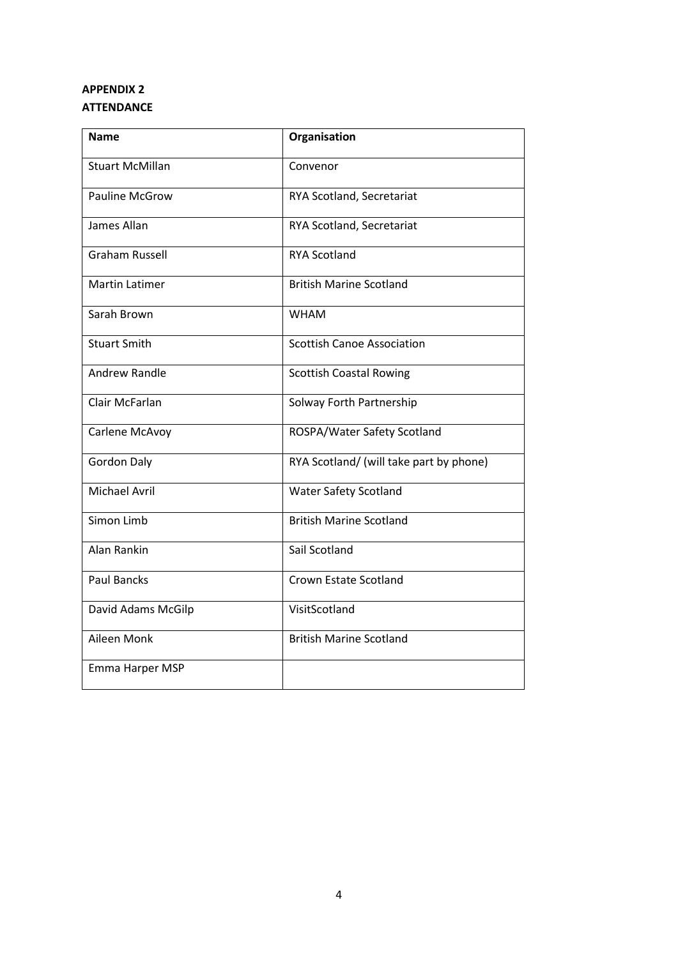# **APPENDIX 2 ATTENDANCE**

| <b>Name</b>            | Organisation                            |
|------------------------|-----------------------------------------|
|                        |                                         |
| <b>Stuart McMillan</b> | Convenor                                |
|                        |                                         |
| <b>Pauline McGrow</b>  | RYA Scotland, Secretariat               |
| James Allan            | RYA Scotland, Secretariat               |
|                        |                                         |
| Graham Russell         | <b>RYA Scotland</b>                     |
|                        |                                         |
| <b>Martin Latimer</b>  | <b>British Marine Scotland</b>          |
|                        |                                         |
| Sarah Brown            | <b>WHAM</b>                             |
| <b>Stuart Smith</b>    | <b>Scottish Canoe Association</b>       |
|                        |                                         |
| <b>Andrew Randle</b>   | <b>Scottish Coastal Rowing</b>          |
|                        |                                         |
| Clair McFarlan         | Solway Forth Partnership                |
| Carlene McAvoy         | ROSPA/Water Safety Scotland             |
|                        |                                         |
| <b>Gordon Daly</b>     | RYA Scotland/ (will take part by phone) |
|                        |                                         |
| <b>Michael Avril</b>   | <b>Water Safety Scotland</b>            |
| Simon Limb             | <b>British Marine Scotland</b>          |
|                        |                                         |
| Alan Rankin            | Sail Scotland                           |
|                        |                                         |
| <b>Paul Bancks</b>     | <b>Crown Estate Scotland</b>            |
|                        | VisitScotland                           |
| David Adams McGilp     |                                         |
| Aileen Monk            | <b>British Marine Scotland</b>          |
|                        |                                         |
| Emma Harper MSP        |                                         |
|                        |                                         |